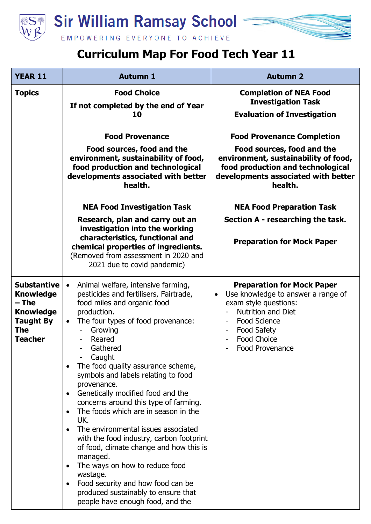

## **Curriculum Map For Food Tech Year 11**

| <b>YEAR 11</b>                                                                                                          | <b>Autumn 1</b>                                                                                                                                                                                                                                                                                                                                                                                                                                                                                                                                                                                                                                                                                                                                                        | <b>Autumn 2</b>                                                                                                                                                                                                                                                                                              |
|-------------------------------------------------------------------------------------------------------------------------|------------------------------------------------------------------------------------------------------------------------------------------------------------------------------------------------------------------------------------------------------------------------------------------------------------------------------------------------------------------------------------------------------------------------------------------------------------------------------------------------------------------------------------------------------------------------------------------------------------------------------------------------------------------------------------------------------------------------------------------------------------------------|--------------------------------------------------------------------------------------------------------------------------------------------------------------------------------------------------------------------------------------------------------------------------------------------------------------|
| <b>Topics</b>                                                                                                           | <b>Food Choice</b><br>If not completed by the end of Year<br>10                                                                                                                                                                                                                                                                                                                                                                                                                                                                                                                                                                                                                                                                                                        | <b>Completion of NEA Food</b><br><b>Investigation Task</b><br><b>Evaluation of Investigation</b>                                                                                                                                                                                                             |
|                                                                                                                         | <b>Food Provenance</b><br>Food sources, food and the<br>environment, sustainability of food,<br>food production and technological<br>developments associated with better<br>health.<br><b>NEA Food Investigation Task</b><br>Research, plan and carry out an<br>investigation into the working<br>characteristics, functional and<br>chemical properties of ingredients.<br>(Removed from assessment in 2020 and<br>2021 due to covid pandemic)                                                                                                                                                                                                                                                                                                                        | <b>Food Provenance Completion</b><br>Food sources, food and the<br>environment, sustainability of food,<br>food production and technological<br>developments associated with better<br>health.<br><b>NEA Food Preparation Task</b><br>Section A - researching the task.<br><b>Preparation for Mock Paper</b> |
| <b>Substantive</b><br><b>Knowledge</b><br>– The<br><b>Knowledge</b><br><b>Taught By</b><br><b>The</b><br><b>Teacher</b> | Animal welfare, intensive farming,<br>$\bullet$<br>pesticides and fertilisers, Fairtrade,<br>food miles and organic food<br>production.<br>The four types of food provenance:<br>$\bullet$<br>Growing<br>Reared<br>Gathered<br>Caught<br>The food quality assurance scheme,<br>symbols and labels relating to food<br>provenance.<br>Genetically modified food and the<br>concerns around this type of farming.<br>The foods which are in season in the<br>UK.<br>The environmental issues associated<br>with the food industry, carbon footprint<br>of food, climate change and how this is<br>managed.<br>The ways on how to reduce food<br>wastage.<br>Food security and how food can be<br>produced sustainably to ensure that<br>people have enough food, and the | <b>Preparation for Mock Paper</b><br>Use knowledge to answer a range of<br>$\bullet$<br>exam style questions:<br><b>Nutrition and Diet</b><br><b>Food Science</b><br><b>Food Safety</b><br><b>Food Choice</b><br>Food Provenance                                                                             |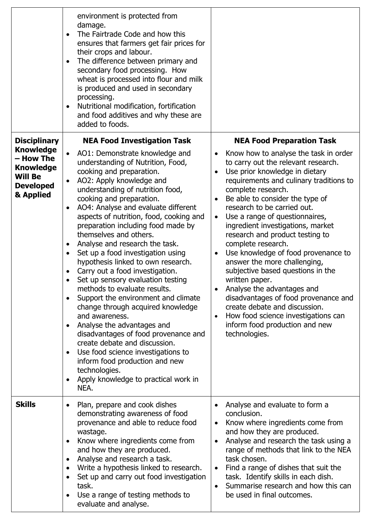|                                                                                                                             | environment is protected from<br>damage.<br>The Fairtrade Code and how this<br>$\bullet$<br>ensures that farmers get fair prices for<br>their crops and labour.<br>The difference between primary and<br>$\bullet$<br>secondary food processing. How<br>wheat is processed into flour and milk<br>is produced and used in secondary<br>processing.<br>Nutritional modification, fortification<br>٠<br>and food additives and why these are<br>added to foods.                                                                                                                                                                                                                                                                                                                                                                                                                                                                                                                                                                                     |                                                                                                                                                                                                                                                                                                                                                                                                                                                                                                                                                                                                                                                                                                                                                                                |
|-----------------------------------------------------------------------------------------------------------------------------|---------------------------------------------------------------------------------------------------------------------------------------------------------------------------------------------------------------------------------------------------------------------------------------------------------------------------------------------------------------------------------------------------------------------------------------------------------------------------------------------------------------------------------------------------------------------------------------------------------------------------------------------------------------------------------------------------------------------------------------------------------------------------------------------------------------------------------------------------------------------------------------------------------------------------------------------------------------------------------------------------------------------------------------------------|--------------------------------------------------------------------------------------------------------------------------------------------------------------------------------------------------------------------------------------------------------------------------------------------------------------------------------------------------------------------------------------------------------------------------------------------------------------------------------------------------------------------------------------------------------------------------------------------------------------------------------------------------------------------------------------------------------------------------------------------------------------------------------|
| <b>Disciplinary</b><br><b>Knowledge</b><br>- How The<br><b>Knowledge</b><br><b>Will Be</b><br><b>Developed</b><br>& Applied | <b>NEA Food Investigation Task</b><br>AO1: Demonstrate knowledge and<br>$\bullet$<br>understanding of Nutrition, Food,<br>cooking and preparation.<br>AO2: Apply knowledge and<br>$\bullet$<br>understanding of nutrition food,<br>cooking and preparation.<br>AO4: Analyse and evaluate different<br>$\bullet$<br>aspects of nutrition, food, cooking and<br>preparation including food made by<br>themselves and others.<br>Analyse and research the task.<br>$\bullet$<br>Set up a food investigation using<br>$\bullet$<br>hypothesis linked to own research.<br>Carry out a food investigation.<br>Set up sensory evaluation testing<br>methods to evaluate results.<br>Support the environment and climate<br>$\bullet$<br>change through acquired knowledge<br>and awareness.<br>Analyse the advantages and<br>disadvantages of food provenance and<br>create debate and discussion.<br>Use food science investigations to<br>$\bullet$<br>inform food production and new<br>technologies.<br>Apply knowledge to practical work in<br>NEA. | <b>NEA Food Preparation Task</b><br>Know how to analyse the task in order<br>to carry out the relevant research.<br>Use prior knowledge in dietary<br>$\bullet$<br>requirements and culinary traditions to<br>complete research.<br>Be able to consider the type of<br>research to be carried out.<br>Use a range of questionnaires,<br>$\bullet$<br>ingredient investigations, market<br>research and product testing to<br>complete research.<br>Use knowledge of food provenance to<br>answer the more challenging,<br>subjective based questions in the<br>written paper.<br>Analyse the advantages and<br>disadvantages of food provenance and<br>create debate and discussion.<br>How food science investigations can<br>inform food production and new<br>technologies. |
| <b>Skills</b>                                                                                                               | Plan, prepare and cook dishes<br>$\bullet$<br>demonstrating awareness of food<br>provenance and able to reduce food<br>wastage.<br>Know where ingredients come from<br>$\bullet$<br>and how they are produced.<br>Analyse and research a task.<br>$\bullet$<br>Write a hypothesis linked to research.<br>$\bullet$<br>Set up and carry out food investigation<br>$\bullet$<br>task.<br>Use a range of testing methods to<br>evaluate and analyse.                                                                                                                                                                                                                                                                                                                                                                                                                                                                                                                                                                                                 | Analyse and evaluate to form a<br>conclusion.<br>Know where ingredients come from<br>$\bullet$<br>and how they are produced.<br>Analyse and research the task using a<br>$\bullet$<br>range of methods that link to the NEA<br>task chosen.<br>Find a range of dishes that suit the<br>$\bullet$<br>task. Identify skills in each dish.<br>Summarise research and how this can<br>$\bullet$<br>be used in final outcomes.                                                                                                                                                                                                                                                                                                                                                      |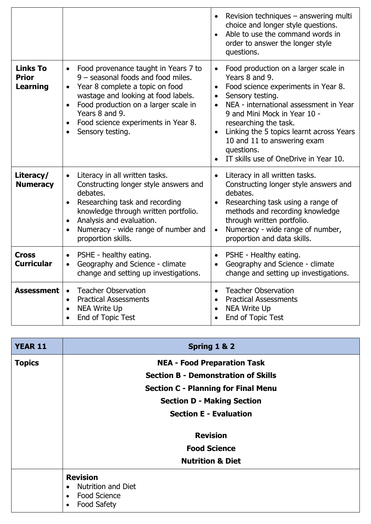|                                                    |                                                                                                                                                                                                                                                                                                     | Revision techniques - answering multi<br>choice and longer style questions.<br>Able to use the command words in<br>order to answer the longer style<br>questions.                                                                                                                                                                                                   |
|----------------------------------------------------|-----------------------------------------------------------------------------------------------------------------------------------------------------------------------------------------------------------------------------------------------------------------------------------------------------|---------------------------------------------------------------------------------------------------------------------------------------------------------------------------------------------------------------------------------------------------------------------------------------------------------------------------------------------------------------------|
| <b>Links To</b><br><b>Prior</b><br><b>Learning</b> | Food provenance taught in Years 7 to<br>9 - seasonal foods and food miles.<br>Year 8 complete a topic on food<br>wastage and looking at food labels.<br>Food production on a larger scale in<br>Years 8 and 9.<br>Food science experiments in Year 8.<br>$\bullet$<br>Sensory testing.<br>$\bullet$ | Food production on a larger scale in<br>Years 8 and 9.<br>Food science experiments in Year 8.<br>$\bullet$<br>Sensory testing.<br>NEA - international assessment in Year<br>9 and Mini Mock in Year 10 -<br>researching the task.<br>Linking the 5 topics learnt across Years<br>10 and 11 to answering exam<br>questions.<br>IT skills use of OneDrive in Year 10. |
| Literacy/<br><b>Numeracy</b>                       | Literacy in all written tasks.<br>Constructing longer style answers and<br>debates.<br>Researching task and recording<br>$\bullet$<br>knowledge through written portfolio.<br>Analysis and evaluation.<br>$\bullet$<br>Numeracy - wide range of number and<br>proportion skills.                    | Literacy in all written tasks.<br>Constructing longer style answers and<br>debates.<br>Researching task using a range of<br>methods and recording knowledge<br>through written portfolio.<br>Numeracy - wide range of number,<br>$\bullet$<br>proportion and data skills.                                                                                           |
| <b>Cross</b><br><b>Curricular</b>                  | PSHE - healthy eating.<br>Geography and Science - climate<br>change and setting up investigations.                                                                                                                                                                                                  | PSHE - Healthy eating.<br>Geography and Science - climate<br>change and setting up investigations.                                                                                                                                                                                                                                                                  |
| <b>Assessment</b>                                  | <b>Teacher Observation</b><br>$\bullet$<br><b>Practical Assessments</b><br><b>NEA Write Up</b><br>$\bullet$<br>End of Topic Test                                                                                                                                                                    | <b>Teacher Observation</b><br><b>Practical Assessments</b><br>NEA Write Up<br>End of Topic Test                                                                                                                                                                                                                                                                     |

| <b>YEAR 11</b> | Spring 1 & 2                                                                                           |  |
|----------------|--------------------------------------------------------------------------------------------------------|--|
| <b>Topics</b>  | <b>NEA - Food Preparation Task</b>                                                                     |  |
|                | <b>Section B - Demonstration of Skills</b>                                                             |  |
|                | <b>Section C - Planning for Final Menu</b>                                                             |  |
|                | <b>Section D - Making Section</b>                                                                      |  |
|                | <b>Section E - Evaluation</b>                                                                          |  |
|                | <b>Revision</b>                                                                                        |  |
|                | <b>Food Science</b>                                                                                    |  |
|                | <b>Nutrition &amp; Diet</b>                                                                            |  |
|                | <b>Revision</b><br><b>Nutrition and Diet</b><br>$\bullet$<br><b>Food Science</b><br><b>Food Safety</b> |  |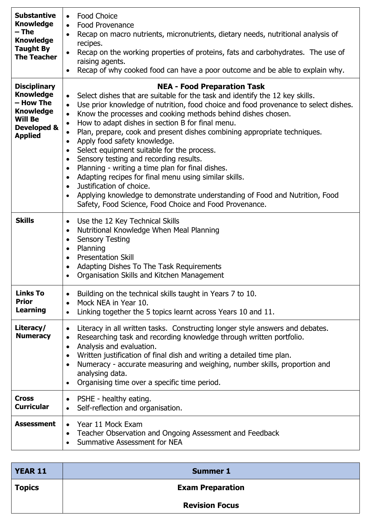| <b>Substantive</b><br><b>Knowledge</b><br>$-$ The<br><b>Knowledge</b><br><b>Taught By</b><br><b>The Teacher</b>             | <b>Food Choice</b><br>$\bullet$<br><b>Food Provenance</b><br>$\bullet$<br>Recap on macro nutrients, micronutrients, dietary needs, nutritional analysis of<br>$\bullet$<br>recipes.<br>Recap on the working properties of proteins, fats and carbohydrates. The use of<br>raising agents.<br>Recap of why cooked food can have a poor outcome and be able to explain why.                                                                                                                                                                                                                                                                                                                                                                                                                                                                                                                                                                                          |
|-----------------------------------------------------------------------------------------------------------------------------|--------------------------------------------------------------------------------------------------------------------------------------------------------------------------------------------------------------------------------------------------------------------------------------------------------------------------------------------------------------------------------------------------------------------------------------------------------------------------------------------------------------------------------------------------------------------------------------------------------------------------------------------------------------------------------------------------------------------------------------------------------------------------------------------------------------------------------------------------------------------------------------------------------------------------------------------------------------------|
| <b>Disciplinary</b><br><b>Knowledge</b><br>- How The<br><b>Knowledge</b><br><b>Will Be</b><br>Developed &<br><b>Applied</b> | <b>NEA - Food Preparation Task</b><br>Select dishes that are suitable for the task and identify the 12 key skills.<br>$\bullet$<br>Use prior knowledge of nutrition, food choice and food provenance to select dishes.<br>$\bullet$<br>Know the processes and cooking methods behind dishes chosen.<br>$\bullet$<br>How to adapt dishes in section B for final menu.<br>$\bullet$<br>Plan, prepare, cook and present dishes combining appropriate techniques.<br>$\bullet$<br>Apply food safety knowledge.<br>$\bullet$<br>Select equipment suitable for the process.<br>$\bullet$<br>Sensory testing and recording results.<br>$\bullet$<br>Planning - writing a time plan for final dishes.<br>$\bullet$<br>Adapting recipes for final menu using similar skills.<br>$\bullet$<br>Justification of choice.<br>$\bullet$<br>Applying knowledge to demonstrate understanding of Food and Nutrition, Food<br>Safety, Food Science, Food Choice and Food Provenance. |
| <b>Skills</b>                                                                                                               | Use the 12 Key Technical Skills<br>$\bullet$<br>Nutritional Knowledge When Meal Planning<br>$\bullet$<br><b>Sensory Testing</b><br>$\bullet$<br>Planning<br>$\bullet$<br><b>Presentation Skill</b><br>$\bullet$<br>Adapting Dishes To The Task Requirements<br>$\bullet$<br>Organisation Skills and Kitchen Management                                                                                                                                                                                                                                                                                                                                                                                                                                                                                                                                                                                                                                             |
| <b>Links To</b><br><b>Prior</b><br><b>Learning</b>                                                                          | Building on the technical skills taught in Years 7 to 10.<br>Mock NEA in Year 10.<br>$\bullet$<br>Linking together the 5 topics learnt across Years 10 and 11.<br>$\bullet$                                                                                                                                                                                                                                                                                                                                                                                                                                                                                                                                                                                                                                                                                                                                                                                        |
| Literacy/<br><b>Numeracy</b>                                                                                                | Literacy in all written tasks. Constructing longer style answers and debates.<br>$\bullet$<br>Researching task and recording knowledge through written portfolio.<br>$\bullet$<br>Analysis and evaluation.<br>$\bullet$<br>Written justification of final dish and writing a detailed time plan.<br>$\bullet$<br>Numeracy - accurate measuring and weighing, number skills, proportion and<br>$\bullet$<br>analysing data.<br>Organising time over a specific time period.                                                                                                                                                                                                                                                                                                                                                                                                                                                                                         |
| <b>Cross</b><br><b>Curricular</b>                                                                                           | PSHE - healthy eating.<br>$\bullet$<br>Self-reflection and organisation.<br>$\bullet$                                                                                                                                                                                                                                                                                                                                                                                                                                                                                                                                                                                                                                                                                                                                                                                                                                                                              |
| <b>Assessment</b>                                                                                                           | Year 11 Mock Exam<br>$\bullet$<br>Teacher Observation and Ongoing Assessment and Feedback<br>Summative Assessment for NEA                                                                                                                                                                                                                                                                                                                                                                                                                                                                                                                                                                                                                                                                                                                                                                                                                                          |

| <b>YEAR 11</b> | <b>Summer 1</b>         |
|----------------|-------------------------|
| <b>Topics</b>  | <b>Exam Preparation</b> |
|                | <b>Revision Focus</b>   |